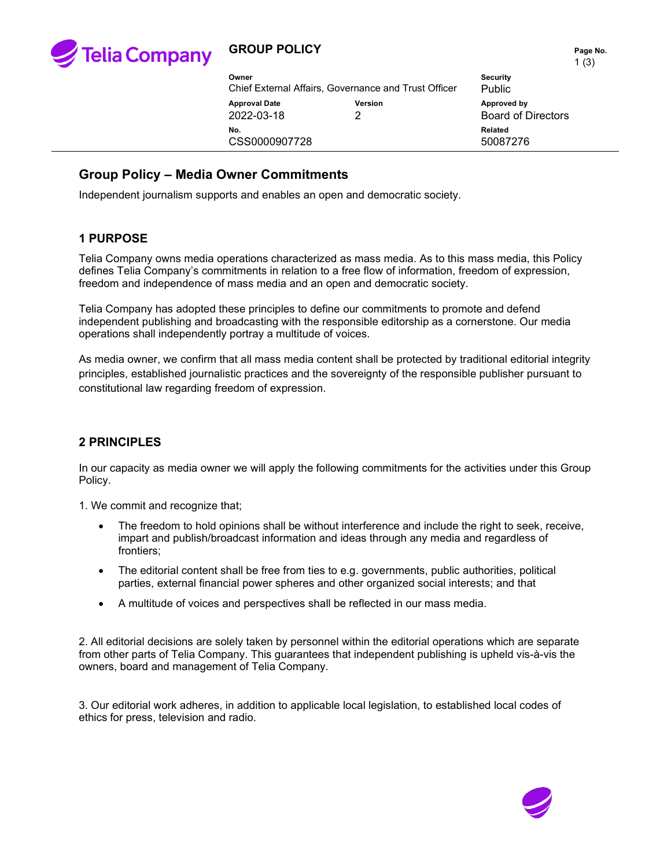

# **GROUP POLICY PAGE NO. Page No. Page No.**

|                                                      |              |                                          | $\cdot$ $\cdot$ $\cdot$ |
|------------------------------------------------------|--------------|------------------------------------------|-------------------------|
| Owner                                                |              | <b>Security</b>                          |                         |
| Chief External Affairs, Governance and Trust Officer |              | <b>Public</b>                            |                         |
| <b>Approval Date</b><br>2022-03-18                   | Version<br>າ | Approved by<br><b>Board of Directors</b> |                         |
| No.<br>CSS0000907728                                 |              | Related<br>50087276                      |                         |

## **Group Policy – Media Owner Commitments**

Independent journalism supports and enables an open and democratic society.

## **1 PURPOSE**

Telia Company owns media operations characterized as mass media. As to this mass media, this Policy defines Telia Company's commitments in relation to a free flow of information, freedom of expression, freedom and independence of mass media and an open and democratic society.

Telia Company has adopted these principles to define our commitments to promote and defend independent publishing and broadcasting with the responsible editorship as a cornerstone. Our media operations shall independently portray a multitude of voices.

As media owner, we confirm that all mass media content shall be protected by traditional editorial integrity principles, established journalistic practices and the sovereignty of the responsible publisher pursuant to constitutional law regarding freedom of expression.

## **2 PRINCIPLES**

In our capacity as media owner we will apply the following commitments for the activities under this Group Policy.

1. We commit and recognize that;

- The freedom to hold opinions shall be without interference and include the right to seek, receive, impart and publish/broadcast information and ideas through any media and regardless of frontiers;
- The editorial content shall be free from ties to e.g. governments, public authorities, political parties, external financial power spheres and other organized social interests; and that
- A multitude of voices and perspectives shall be reflected in our mass media.

2. All editorial decisions are solely taken by personnel within the editorial operations which are separate from other parts of Telia Company. This guarantees that independent publishing is upheld vis-à-vis the owners, board and management of Telia Company.

3. Our editorial work adheres, in addition to applicable local legislation, to established local codes of ethics for press, television and radio.

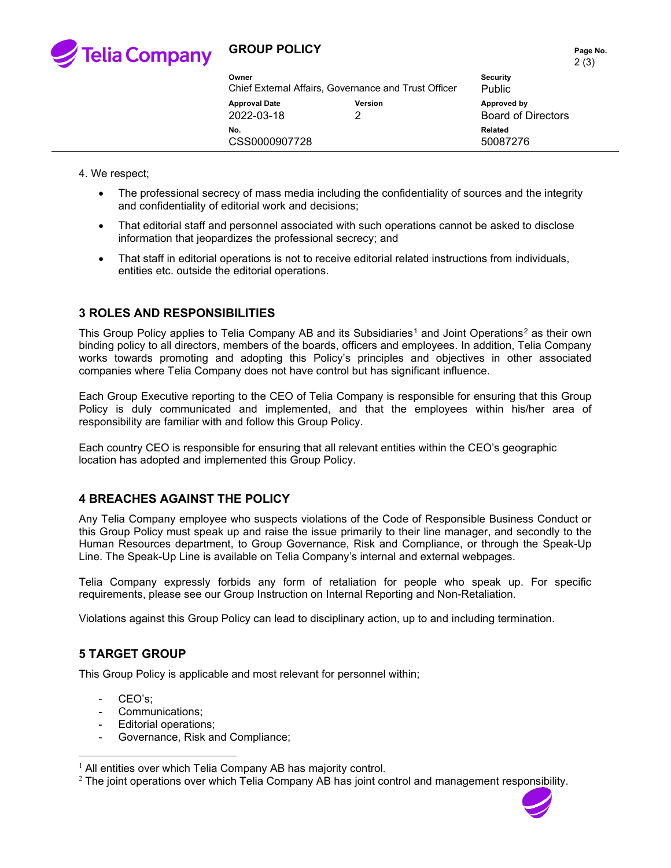

## **GROUP POLICY PAGE NO. Page No. Page No.**

| Owner<br>Chief External Affairs, Governance and Trust Officer | <b>Security</b><br><b>Public</b> |                                          |  |
|---------------------------------------------------------------|----------------------------------|------------------------------------------|--|
| <b>Approval Date</b><br>2022-03-18                            | <b>Version</b>                   | Approved by<br><b>Board of Directors</b> |  |
| No.<br>CSS0000907728                                          |                                  | Related<br>50087276                      |  |

4. We respect;

- The professional secrecy of mass media including the confidentiality of sources and the integrity and confidentiality of editorial work and decisions;
- That editorial staff and personnel associated with such operations cannot be asked to disclose information that jeopardizes the professional secrecy; and
- That staff in editorial operations is not to receive editorial related instructions from individuals, entities etc. outside the editorial operations.

## **3 ROLES AND RESPONSIBILITIES**

This Group Policy applies to Telia Company AB and its Subsidiaries<sup>[1](#page-1-0)</sup> and Joint Operations<sup>[2](#page-1-1)</sup> as their own binding policy to all directors, members of the boards, officers and employees. In addition, Telia Company works towards promoting and adopting this Policy's principles and objectives in other associated companies where Telia Company does not have control but has significant influence.

Each Group Executive reporting to the CEO of Telia Company is responsible for ensuring that this Group Policy is duly communicated and implemented, and that the employees within his/her area of responsibility are familiar with and follow this Group Policy.

Each country CEO is responsible for ensuring that all relevant entities within the CEO's geographic location has adopted and implemented this Group Policy.

#### **4 BREACHES AGAINST THE POLICY**

Any Telia Company employee who suspects violations of the Code of Responsible Business Conduct or this Group Policy must speak up and raise the issue primarily to their line manager, and secondly to the Human Resources department, to Group Governance, Risk and Compliance, or through the Speak-Up Line. The Speak-Up Line is available on Telia Company's internal and external webpages.

Telia Company expressly forbids any form of retaliation for people who speak up. For specific requirements, please see our Group Instruction on Internal Reporting and Non-Retaliation.

Violations against this Group Policy can lead to disciplinary action, up to and including termination.

## **5 TARGET GROUP**

This Group Policy is applicable and most relevant for personnel within;

- CEO's;
- Communications;
- Editorial operations;
- Governance, Risk and Compliance;

<span id="page-1-1"></span> $2$  The joint operations over which Telia Company AB has joint control and management responsibility.



<span id="page-1-0"></span> $1$  All entities over which Telia Company AB has majority control.